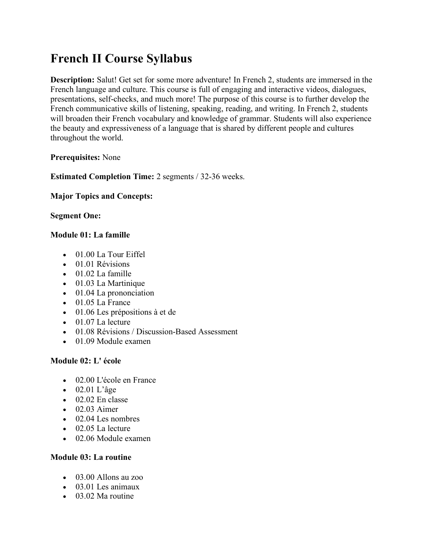# **French II Course Syllabus**

**Description:** Salut! Get set for some more adventure! In French 2, students are immersed in the French language and culture. This course is full of engaging and interactive videos, dialogues, presentations, self-checks, and much more! The purpose of this course is to further develop the French communicative skills of listening, speaking, reading, and writing. In French 2, students will broaden their French vocabulary and knowledge of grammar. Students will also experience the beauty and expressiveness of a language that is shared by different people and cultures throughout the world.

# **Prerequisites:** None

**Estimated Completion Time:** 2 segments / 32-36 weeks.

## **Major Topics and Concepts:**

## **Segment One:**

## **Module 01: La famille**

- 01.00 La Tour Eiffel
- 01.01 Révisions
- 01.02 La famille
- 01.03 La Martinique
- 01.04 La prononciation
- 01.05 La France
- 01.06 Les prépositions à et de
- 01.07 La lecture
- 01.08 Révisions / Discussion-Based Assessment
- 01.09 Module examen

# **Module 02: L' école**

- 02.00 L'école en France
- 02.01 L'âge
- $\bullet$  02.02 En classe
- $\bullet$  02.03 Aimer
- 02.04 Les nombres
- 02.05 La lecture
- 02.06 Module examen

#### **Module 03: La routine**

- 03.00 Allons au zoo
- 03.01 Les animaux
- 03.02 Ma routine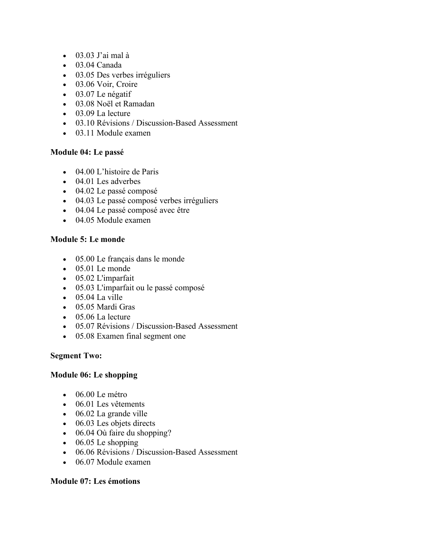- 03.03 J'ai mal à
- 03.04 Canada
- 03.05 Des verbes irréguliers
- 03.06 Voir, Croire
- 03.07 Le négatif
- 03.08 Noël et Ramadan
- $\bullet$  03.09 La lecture
- 03.10 Révisions / Discussion-Based Assessment
- 03.11 Module examen

## **Module 04: Le passé**

- 04.00 L'histoire de Paris
- 04.01 Les adverbes
- 04.02 Le passé composé
- 04.03 Le passé composé verbes irréguliers
- 04.04 Le passé composé avec être
- 04.05 Module examen

## **Module 5: Le monde**

- 05.00 Le français dans le monde
- $\bullet$  05.01 Le monde
- 05.02 L'imparfait
- 05.03 L'imparfait ou le passé composé
- $\bullet$  05.04 La ville
- 05.05 Mardi Gras
- 05.06 La lecture
- 05.07 Révisions / Discussion-Based Assessment
- 05.08 Examen final segment one

#### **Segment Two:**

#### **Module 06: Le shopping**

- 06.00 Le métro
- 06.01 Les vêtements
- 06.02 La grande ville
- 06.03 Les objets directs
- 06.04 Où faire du shopping?
- $\bullet$  06.05 Le shopping
- 06.06 Révisions / Discussion-Based Assessment
- 06.07 Module examen

#### **Module 07: Les émotions**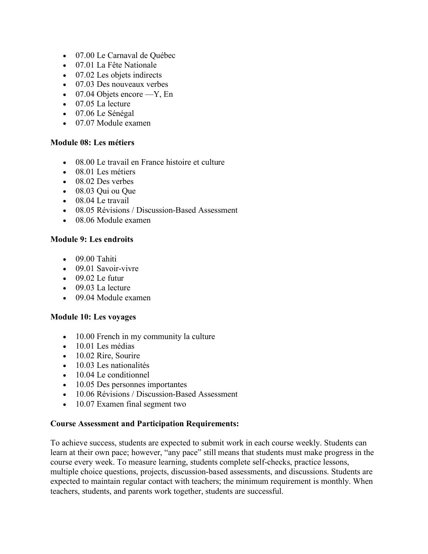- 07.00 Le Carnaval de Québec
- 07.01 La Fête Nationale
- 07.02 Les objets indirects
- 07.03 Des nouveaux verbes
- $\bullet$  07.04 Objets encore —Y, En
- 07.05 La lecture
- 07.06 Le Sénégal
- 07.07 Module examen

#### **Module 08: Les métiers**

- 08.00 Le travail en France histoire et culture
- 08.01 Les métiers
- 08.02 Des verbes
- 08.03 Qui ou Que
- 08.04 Le travail
- 08.05 Révisions / Discussion-Based Assessment
- 08.06 Module examen

#### **Module 9: Les endroits**

- $\bullet$  09.00 Tahiti
- 09.01 Savoir-vivre
- $\bullet$  09.02 Le futur
- 09.03 La lecture
- 09.04 Module examen

#### **Module 10: Les voyages**

- 10.00 French in my community la culture
- 10.01 Les médias
- 10.02 Rire, Sourire
- 10.03 Les nationalités
- 10.04 Le conditionnel
- 10.05 Des personnes importantes
- 10.06 Révisions / Discussion-Based Assessment
- 10.07 Examen final segment two

#### **Course Assessment and Participation Requirements:**

To achieve success, students are expected to submit work in each course weekly. Students can learn at their own pace; however, "any pace" still means that students must make progress in the course every week. To measure learning, students complete self-checks, practice lessons, multiple choice questions, projects, discussion-based assessments, and discussions. Students are expected to maintain regular contact with teachers; the minimum requirement is monthly. When teachers, students, and parents work together, students are successful.